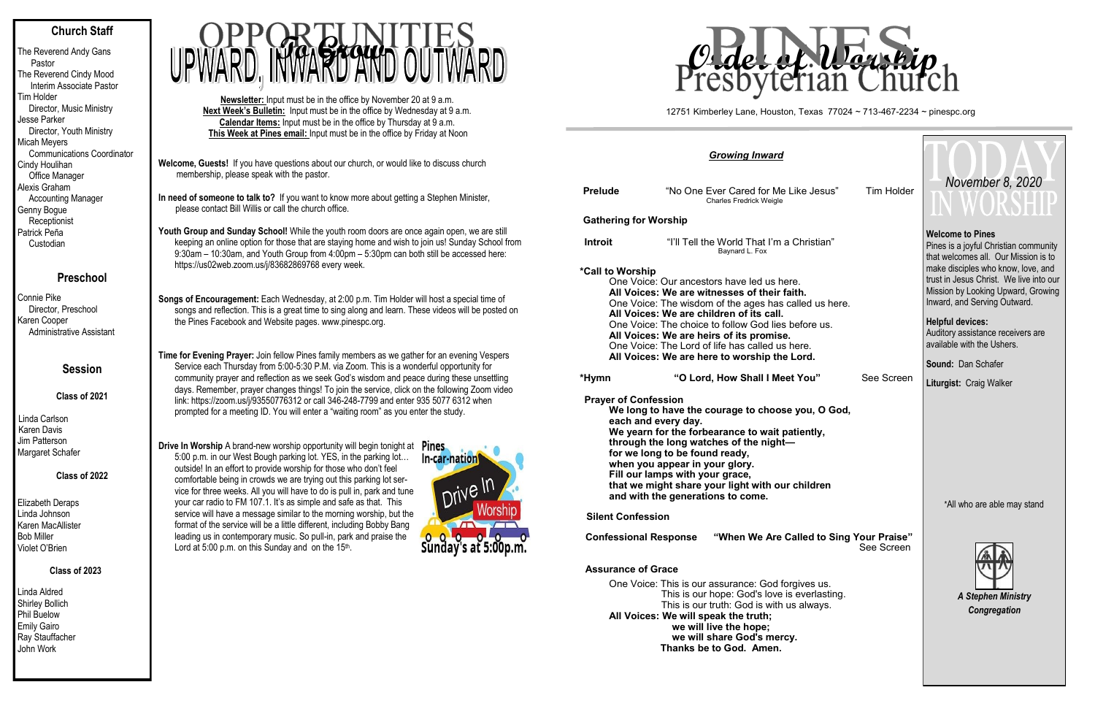## **Church Staff**

The Reverend Andy Gans Pastor The Reverend Cindy Mood Interim Associate Pastor Tim Holder Director, Music Ministry Jesse Parker Director, Youth Ministry Micah Meyers Communications Coordinator Cindy Houlihan Office Manager Alexis Graham Accounting Manager Genny Bogue **Receptionist** Patrick Peña Custodian

# **Preschool**

Connie Pike Director, Preschool Karen Cooper Administrative Assistant

## **Session**

**Class of 2021**

Linda Carlson Karen Davis Jim Patterson Margaret Schafer

## **Class of 2022**

Elizabeth Deraps Linda Johnson Karen MacAllister Bob Miller Violet O'Brien

### **Class of 2023**

Youth Group and Sunday School! While the youth room doors are once again open, we are still keeping an online option for those that are staying home and wish to join us! Sunday School from 9:30am – 10:30am, and Youth Group from 4:00pm – 5:30pm can both still be accessed here: https://us02web.zoom.us/j/83682869768 every week.

Linda Aldred Shirley Bollich Phil Buelow Emily Gairo Ray Stauffacher John Work

**Welcome, Guests!** If you have questions about our church, or would like to discuss church membership, please speak with the pastor.

**In need of someone to talk to?** If you want to know more about getting a Stephen Minister, please contact Bill Willis or call the church office.

**Songs of Encouragement:** Each Wednesday, at 2:00 p.m. Tim Holder will host a special time of songs and reflection. This is a great time to sing along and learn. These videos will be posted on the Pines Facebook and Website pages. www.pinespc.org.

**Time for Evening Prayer:** Join fellow Pines family members as we gather for an evening Vespers Service each Thursday from 5:00-5:30 P.M. via Zoom. This is a wonderful opportunity for community prayer and reflection as we seek God's wisdom and peace during these unsettling days. Remember, prayer changes things! To join the service, click on the following Zoom video link: https://zoom.us/j/93550776312 or call 346-248-7799 and enter 935 5077 6312 when prompted for a meeting ID. You will enter a "waiting room" as you enter the study.

**Drive In Worship A brand-new worship opportunity will begin tonight at Pines** 5:00 p.m. in our West Bough parking lot. YES, in the parking lot… outside! In an effort to provide worship for those who don't feel comfortable being in crowds we are trying out this parking lot service for three weeks. All you will have to do is pull in, park and tune your car radio to FM 107.1. It's as simple and safe as that. This service will have a message similar to the morning worship, but the format of the service will be a little different, including Bobby Bang leading us in contemporary music. So pull-in, park and praise the Lord at 5:00 p.m. on this Sunday and on the 15th.



we will share **G Thanks be to God. Amen.**

**Newsletter:** Input must be in the office by November 20 at 9 a.m. **Next Week's Bulletin:** Input must be in the office by Wednesday at 9 a.m. **Calendar Items:** Input must be in the office by Thursday at 9 a.m. **This Week at Pines email:** Input must be in the office by Friday at Noon



|                                    | <b>Growing Inward</b>                                                                                                                                                                                                                                                                                                                                                                                                                                                 |                                           |                                                                                                                                                                                                                                                                                                                                                                                     |  |
|------------------------------------|-----------------------------------------------------------------------------------------------------------------------------------------------------------------------------------------------------------------------------------------------------------------------------------------------------------------------------------------------------------------------------------------------------------------------------------------------------------------------|-------------------------------------------|-------------------------------------------------------------------------------------------------------------------------------------------------------------------------------------------------------------------------------------------------------------------------------------------------------------------------------------------------------------------------------------|--|
| <b>Prelude</b>                     | "No One Ever Cared for Me Like Jesus"<br><b>Charles Fredrick Weigle</b>                                                                                                                                                                                                                                                                                                                                                                                               | <b>Tim Holder</b>                         | November 8, 2020<br>IV WUKSHI                                                                                                                                                                                                                                                                                                                                                       |  |
| <b>Gathering for Worship</b>       |                                                                                                                                                                                                                                                                                                                                                                                                                                                                       |                                           |                                                                                                                                                                                                                                                                                                                                                                                     |  |
| <b>Introit</b><br>*Call to Worship | "I'll Tell the World That I'm a Christian"<br>Baynard L. Fox<br>One Voice: Our ancestors have led us here.<br>All Voices: We are witnesses of their faith.<br>One Voice: The wisdom of the ages has called us here.<br>All Voices: We are children of its call.<br>One Voice: The choice to follow God lies before us.<br>All Voices: We are heirs of its promise.<br>One Voice: The Lord of life has called us here.<br>All Voices: We are here to worship the Lord. |                                           | <b>Welcome to Pines</b><br>Pines is a joyful Christian community<br>that welcomes all. Our Mission is to<br>make disciples who know, love, and<br>trust in Jesus Christ. We live into our<br>Mission by Looking Upward, Growing<br>Inward, and Serving Outward.<br><b>Helpful devices:</b><br>Auditory assistance receivers are<br>available with the Ushers.<br>Sound: Dan Schafer |  |
| *Hymn                              | "O Lord, How Shall I Meet You"                                                                                                                                                                                                                                                                                                                                                                                                                                        | See Screen                                | Liturgist: Craig Walker                                                                                                                                                                                                                                                                                                                                                             |  |
| <b>Prayer of Confession</b>        | We long to have the courage to choose you, O God,<br>each and every day.<br>We yearn for the forbearance to wait patiently,<br>through the long watches of the night-<br>for we long to be found ready,<br>when you appear in your glory.<br>Fill our lamps with your grace,<br>that we might share your light with our children<br>and with the generations to come.                                                                                                 | *All who are able may stand               |                                                                                                                                                                                                                                                                                                                                                                                     |  |
| <b>Silent Confession</b>           |                                                                                                                                                                                                                                                                                                                                                                                                                                                                       |                                           |                                                                                                                                                                                                                                                                                                                                                                                     |  |
| <b>Confessional Response</b>       | "When We Are Called to Sing Your Praise"                                                                                                                                                                                                                                                                                                                                                                                                                              | See Screen                                |                                                                                                                                                                                                                                                                                                                                                                                     |  |
| <b>Assurance of Grace</b>          | One Voice: This is our assurance: God forgives us.<br>This is our hope: God's love is everlasting.<br>This is our truth: God is with us always.<br>All Voices: We will speak the truth;<br>we will live the hope;<br>We will share God's mercy                                                                                                                                                                                                                        | <b>A Stephen Ministry</b><br>Congregation |                                                                                                                                                                                                                                                                                                                                                                                     |  |

#### **Assu**

#### 12751 Kimberley Lane, Houston, Texas 77024 ~ 713-467-2234 ~ pinespc.org